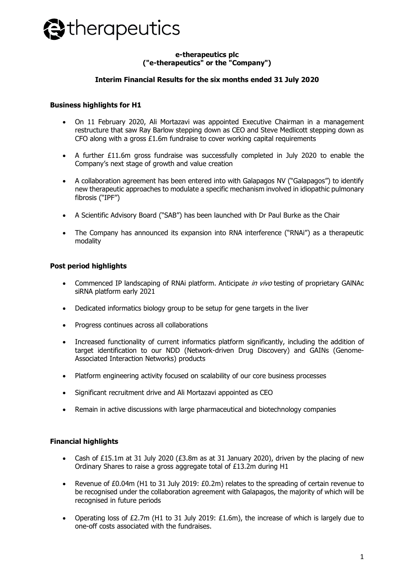

### **e-therapeutics plc ("e-therapeutics" or the "Company")**

#### **Interim Financial Results for the six months ended 31 July 2020**

#### **Business highlights for H1**

- On 11 February 2020, Ali Mortazavi was appointed Executive Chairman in a management restructure that saw Ray Barlow stepping down as CEO and Steve Medlicott stepping down as CFO along with a gross £1.6m fundraise to cover working capital requirements
- A further £11.6m gross fundraise was successfully completed in July 2020 to enable the Company's next stage of growth and value creation
- A collaboration agreement has been entered into with Galapagos NV ("Galapagos") to identify new therapeutic approaches to modulate a specific mechanism involved in idiopathic pulmonary fibrosis ("IPF")
- A Scientific Advisory Board ("SAB") has been launched with Dr Paul Burke as the Chair
- The Company has announced its expansion into RNA interference ("RNAi") as a therapeutic modality

### **Post period highlights**

- Commenced IP landscaping of RNAi platform. Anticipate *in vivo* testing of proprietary GAINAc siRNA platform early 2021
- Dedicated informatics biology group to be setup for gene targets in the liver
- Progress continues across all collaborations
- Increased functionality of current informatics platform significantly, including the addition of target identification to our NDD (Network-driven Drug Discovery) and GAINs (Genome-Associated Interaction Networks) products
- Platform engineering activity focused on scalability of our core business processes
- Significant recruitment drive and Ali Mortazavi appointed as CEO
- Remain in active discussions with large pharmaceutical and biotechnology companies

## **Financial highlights**

- Cash of £15.1m at 31 July 2020 ( $E3.8m$  as at 31 January 2020), driven by the placing of new Ordinary Shares to raise a gross aggregate total of £13.2m during H1
- Revenue of £0.04m (H1 to 31 July 2019: £0.2m) relates to the spreading of certain revenue to be recognised under the collaboration agreement with Galapagos, the majority of which will be recognised in future periods
- Operating loss of £2.7m (H1 to 31 July 2019: £1.6m), the increase of which is largely due to one-off costs associated with the fundraises.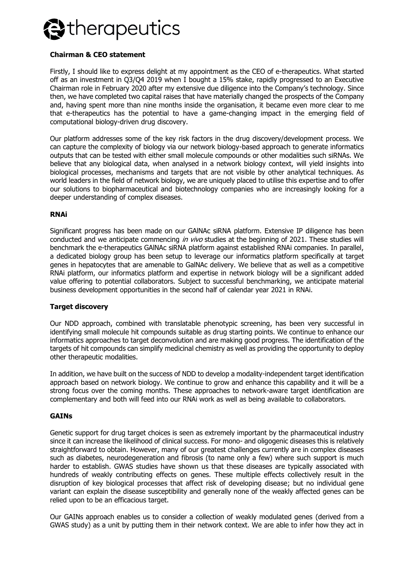

### **Chairman & CEO statement**

Firstly, I should like to express delight at my appointment as the CEO of e-therapeutics. What started off as an investment in Q3/Q4 2019 when I bought a 15% stake, rapidly progressed to an Executive Chairman role in February 2020 after my extensive due diligence into the Company's technology. Since then, we have completed two capital raises that have materially changed the prospects of the Company and, having spent more than nine months inside the organisation, it became even more clear to me that e-therapeutics has the potential to have a game-changing impact in the emerging field of computational biology-driven drug discovery.

Our platform addresses some of the key risk factors in the drug discovery/development process. We can capture the complexity of biology via our network biology-based approach to generate informatics outputs that can be tested with either small molecule compounds or other modalities such siRNAs. We believe that any biological data, when analysed in a network biology context, will yield insights into biological processes, mechanisms and targets that are not visible by other analytical techniques. As world leaders in the field of network biology, we are uniquely placed to utilise this expertise and to offer our solutions to biopharmaceutical and biotechnology companies who are increasingly looking for a deeper understanding of complex diseases.

#### **RNAi**

Significant progress has been made on our GAlNAc siRNA platform. Extensive IP diligence has been conducted and we anticipate commencing in vivo studies at the beginning of 2021. These studies will benchmark the e-therapeutics GAlNAc siRNA platform against established RNAi companies. In parallel, a dedicated biology group has been setup to leverage our informatics platform specifically at target genes in hepatocytes that are amenable to GalNAc delivery. We believe that as well as a competitive RNAi platform, our informatics platform and expertise in network biology will be a significant added value offering to potential collaborators. Subject to successful benchmarking, we anticipate material business development opportunities in the second half of calendar year 2021 in RNAi.

#### **Target discovery**

Our NDD approach, combined with translatable phenotypic screening, has been very successful in identifying small molecule hit compounds suitable as drug starting points. We continue to enhance our informatics approaches to target deconvolution and are making good progress. The identification of the targets of hit compounds can simplify medicinal chemistry as well as providing the opportunity to deploy other therapeutic modalities.

In addition, we have built on the success of NDD to develop a modality-independent target identification approach based on network biology. We continue to grow and enhance this capability and it will be a strong focus over the coming months. These approaches to network-aware target identification are complementary and both will feed into our RNAi work as well as being available to collaborators.

#### **GAINs**

Genetic support for drug target choices is seen as extremely important by the pharmaceutical industry since it can increase the likelihood of clinical success. For mono- and oligogenic diseases this is relatively straightforward to obtain. However, many of our greatest challenges currently are in complex diseases such as diabetes, neurodegeneration and fibrosis (to name only a few) where such support is much harder to establish. GWAS studies have shown us that these diseases are typically associated with hundreds of weakly contributing effects on genes. These multiple effects collectively result in the disruption of key biological processes that affect risk of developing disease; but no individual gene variant can explain the disease susceptibility and generally none of the weakly affected genes can be relied upon to be an efficacious target.

Our GAINs approach enables us to consider a collection of weakly modulated genes (derived from a GWAS study) as a unit by putting them in their network context. We are able to infer how they act in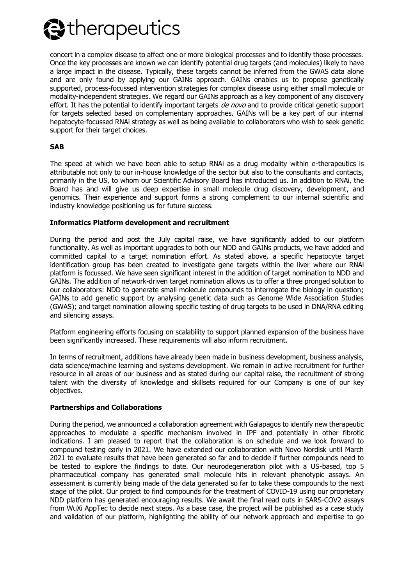

concert in a complex disease to affect one or more biological processes and to identify those processes. Once the key processes are known we can identify potential drug targets (and molecules) likely to have a large impact in the disease. Typically, these targets cannot be inferred from the GWAS data alone and are only found by applying our GAINs approach. GAINs enables us to propose genetically supported, process-focussed intervention strategies for complex disease using either small molecule or modality-independent strategies. We regard our GAINs approach as a key component of any discovery effort. It has the potential to identify important targets *de novo* and to provide critical genetic support for targets selected based on complementary approaches. GAINs will be a key part of our internal hepatocyte-focussed RNAi strategy as well as being available to collaborators who wish to seek genetic support for their target choices.

#### **SAB**

The speed at which we have been able to setup RNAi as a drug modality within e-therapeutics is attributable not only to our in-house knowledge of the sector but also to the consultants and contacts, primarily in the US, to whom our Scientific Advisory Board has introduced us. In addition to RNAi, the Board has and will give us deep expertise in small molecule drug discovery, development, and genomics. Their experience and support forms a strong complement to our internal scientific and industry knowledge positioning us for future success.

#### **Informatics Platform development and recruitment**

During the period and post the July capital raise, we have significantly added to our platform functionality. As well as important upgrades to both our NDD and GAINs products, we have added and committed capital to a target nomination effort. As stated above, a specific hepatocyte target identification group has been created to investigate gene targets within the liver where our RNAi platform is focussed. We have seen significant interest in the addition of target nomination to NDD and GAINs. The addition of network-driven target nomination allows us to offer a three pronged solution to our collaborators: NDD to generate small molecule compounds to interrogate the biology in question; GAINs to add genetic support by analysing genetic data such as Genome Wide Association Studies (GWAS); and target nomination allowing specific testing of drug targets to be used in DNA/RNA editing and silencing assays.

Platform engineering efforts focusing on scalability to support planned expansion of the business have been significantly increased. These requirements will also inform recruitment.

In terms of recruitment, additions have already been made in business development, business analysis, data science/machine learning and systems development. We remain in active recruitment for further resource in all areas of our business and as stated during our capital raise, the recruitment of strong talent with the diversity of knowledge and skillsets required for our Company is one of our key objectives.

#### **Partnerships and Collaborations**

During the period, we announced a collaboration agreement with Galapagos to identify new therapeutic approaches to modulate a specific mechanism involved in IPF and potentially in other fibrotic indications. I am pleased to report that the collaboration is on schedule and we look forward to compound testing early in 2021. We have extended our collaboration with Novo Nordisk until March 2021 to evaluate results that have been generated so far and to decide if further compounds need to be tested to explore the findings to date. Our neurodegeneration pilot with a US-based, top 5 pharmaceutical company has generated small molecule hits in relevant phenotypic assays. An assessment is currently being made of the data generated so far to take these compounds to the next stage of the pilot. Our project to find compounds for the treatment of COVID-19 using our proprietary NDD platform has generated encouraging results. We await the final read outs in SARS-COV2 assays from WuXi AppTec to decide next steps. As a base case, the project will be published as a case study and validation of our platform, highlighting the ability of our network approach and expertise to go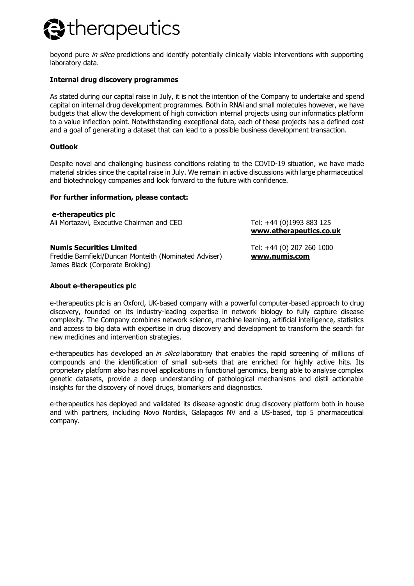# **Etherapeutics**

beyond pure *in silico* predictions and identify potentially clinically viable interventions with supporting laboratory data.

### **Internal drug discovery programmes**

As stated during our capital raise in July, it is not the intention of the Company to undertake and spend capital on internal drug development programmes. Both in RNAi and small molecules however, we have budgets that allow the development of high conviction internal projects using our informatics platform to a value inflection point. Notwithstanding exceptional data, each of these projects has a defined cost and a goal of generating a dataset that can lead to a possible business development transaction.

#### **Outlook**

Despite novel and challenging business conditions relating to the COVID-19 situation, we have made material strides since the capital raise in July. We remain in active discussions with large pharmaceutical and biotechnology companies and look forward to the future with confidence.

#### **For further information, please contact:**

**e-therapeutics plc** Ali Mortazavi, Executive Chairman and CEO Tel: +44 (0)1993 883 125

#### **Numis Securities Limited**

Freddie Barnfield/Duncan Monteith (Nominated Adviser) James Black (Corporate Broking)

**About e-therapeutics plc**

e-therapeutics plc is an Oxford, UK-based company with a powerful computer-based approach to drug discovery, founded on its industry-leading expertise in network biology to fully capture disease complexity. The Company combines network science, machine learning, artificial intelligence, statistics and access to big data with expertise in drug discovery and development to transform the search for new medicines and intervention strategies.

e-therapeutics has developed an in silico laboratory that enables the rapid screening of millions of compounds and the identification of small sub-sets that are enriched for highly active hits. Its proprietary platform also has novel applications in functional genomics, being able to analyse complex genetic datasets, provide a deep understanding of pathological mechanisms and distil actionable insights for the discovery of novel drugs, biomarkers and diagnostics.

e-therapeutics has deployed and validated its disease-agnostic drug discovery platform both in house and with partners, including Novo Nordisk, Galapagos NV and a US-based, top 5 pharmaceutical company.

Tel: +44 (0) 207 260 1000 **[www.numis.com](http://www.numis.com/)**

**[www.etherapeutics.co.uk](http://www.etherapeutics.co.uk/)**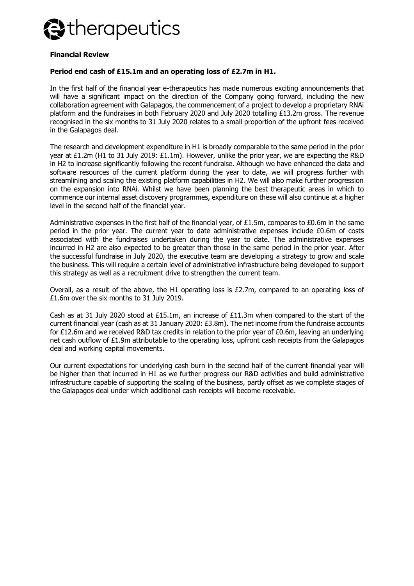

### **Financial Review**

#### **Period end cash of £15.1m and an operating loss of £2.7m in H1.**

In the first half of the financial year e-therapeutics has made numerous exciting announcements that will have a significant impact on the direction of the Company going forward, including the new collaboration agreement with Galapagos, the commencement of a project to develop a proprietary RNAi platform and the fundraises in both February 2020 and July 2020 totalling £13.2m gross. The revenue recognised in the six months to 31 July 2020 relates to a small proportion of the upfront fees received in the Galapagos deal.

The research and development expenditure in H1 is broadly comparable to the same period in the prior year at £1.2m (H1 to 31 July 2019: £1.1m). However, unlike the prior year, we are expecting the R&D in H2 to increase significantly following the recent fundraise. Although we have enhanced the data and software resources of the current platform during the year to date, we will progress further with streamlining and scaling the existing platform capabilities in H2. We will also make further progression on the expansion into RNAi. Whilst we have been planning the best therapeutic areas in which to commence our internal asset discovery programmes, expenditure on these will also continue at a higher level in the second half of the financial year.

Administrative expenses in the first half of the financial year, of £1.5m, compares to £0.6m in the same period in the prior year. The current year to date administrative expenses include £0.6m of costs associated with the fundraises undertaken during the year to date. The administrative expenses incurred in H2 are also expected to be greater than those in the same period in the prior year. After the successful fundraise in July 2020, the executive team are developing a strategy to grow and scale the business. This will require a certain level of administrative infrastructure being developed to support this strategy as well as a recruitment drive to strengthen the current team.

Overall, as a result of the above, the H1 operating loss is £2.7m, compared to an operating loss of £1.6m over the six months to 31 July 2019.

Cash as at 31 July 2020 stood at £15.1m, an increase of £11.3m when compared to the start of the current financial year (cash as at 31 January 2020: £3.8m). The net income from the fundraise accounts for £12.6m and we received R&D tax credits in relation to the prior year of £0.6m, leaving an underlying net cash outflow of £1.9m attributable to the operating loss, upfront cash receipts from the Galapagos deal and working capital movements.

Our current expectations for underlying cash burn in the second half of the current financial year will be higher than that incurred in H1 as we further progress our R&D activities and build administrative infrastructure capable of supporting the scaling of the business, partly offset as we complete stages of the Galapagos deal under which additional cash receipts will become receivable.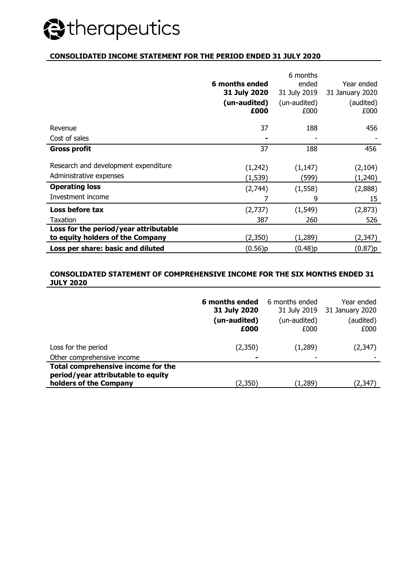# Stherapeutics

## **CONSOLIDATED INCOME STATEMENT FOR THE PERIOD ENDED 31 JULY 2020**

|                                       |                | 6 months     |                 |
|---------------------------------------|----------------|--------------|-----------------|
|                                       | 6 months ended | ended        | Year ended      |
|                                       | 31 July 2020   | 31 July 2019 | 31 January 2020 |
|                                       | (un-audited)   | (un-audited) | (audited)       |
|                                       | £000           | £000         | £000            |
|                                       |                |              |                 |
| Revenue                               | 37             | 188          | 456             |
| Cost of sales                         |                |              |                 |
| <b>Gross profit</b>                   | 37             | 188          | 456             |
|                                       |                |              |                 |
| Research and development expenditure  | (1,242)        | (1, 147)     | (2, 104)        |
| Administrative expenses               | (1, 539)       | (599)        | (1,240)         |
| <b>Operating loss</b>                 | (2,744)        | (1, 558)     | (2,888)         |
| Investment income                     |                | 9            | 15              |
| Loss before tax                       | (2,737)        | (1, 549)     | (2,873)         |
| Taxation                              | 387            | 260          | 526             |
| Loss for the period/year attributable |                |              |                 |
| to equity holders of the Company      | (2,350)        | (1,289)      | (2,347)         |
| Loss per share: basic and diluted     | (0.56)p        | (0.48)p      | (0.87)p         |

### **CONSOLIDATED STATEMENT OF COMPREHENSIVE INCOME FOR THE SIX MONTHS ENDED 31 JULY 2020**

|                                                                                                    | 6 months ended<br>31 July 2020<br>(un-audited)<br>£000 | 6 months ended<br>31 July 2019<br>(un-audited)<br>£000 | Year ended<br>31 January 2020<br>(audited)<br>£000 |
|----------------------------------------------------------------------------------------------------|--------------------------------------------------------|--------------------------------------------------------|----------------------------------------------------|
| Loss for the period                                                                                | (2,350)                                                | (1,289)                                                | (2,347)                                            |
| Other comprehensive income                                                                         | -                                                      | ۰                                                      |                                                    |
| Total comprehensive income for the<br>period/year attributable to equity<br>holders of the Company | (2,350)                                                | (1,289)                                                | (2, 347)                                           |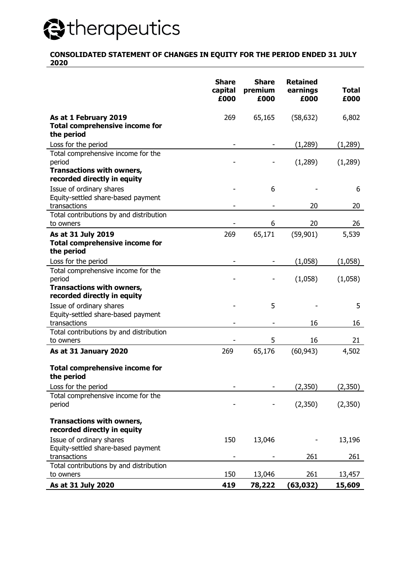# **@therapeutics**

#### **CONSOLIDATED STATEMENT OF CHANGES IN EQUITY FOR THE PERIOD ENDED 31 JULY 2020**

|                                                                                                                 | <b>Share</b><br>capital<br>£000 | <b>Share</b><br>premium<br>£000 | <b>Retained</b><br>earnings<br>£000 | <b>Total</b><br>£000 |
|-----------------------------------------------------------------------------------------------------------------|---------------------------------|---------------------------------|-------------------------------------|----------------------|
| As at 1 February 2019<br><b>Total comprehensive income for</b><br>the period                                    | 269                             | 65,165                          | (58, 632)                           | 6,802                |
| Loss for the period                                                                                             |                                 |                                 | (1, 289)                            | (1, 289)             |
| Total comprehensive income for the<br>period<br><b>Transactions with owners,</b><br>recorded directly in equity |                                 |                                 | (1,289)                             | (1,289)              |
| Issue of ordinary shares<br>Equity-settled share-based payment                                                  |                                 | 6                               |                                     | 6                    |
| transactions                                                                                                    |                                 |                                 | 20                                  | 20                   |
| Total contributions by and distribution<br>to owners                                                            |                                 | 6                               | 20                                  | 26                   |
| As at 31 July 2019<br><b>Total comprehensive income for</b><br>the period                                       | 269                             | 65,171                          | (59, 901)                           | 5,539                |
| Loss for the period                                                                                             |                                 |                                 | (1,058)                             | (1,058)              |
| Total comprehensive income for the<br>period<br>Transactions with owners,<br>recorded directly in equity        |                                 |                                 | (1,058)                             | (1,058)              |
| Issue of ordinary shares<br>Equity-settled share-based payment<br>transactions                                  |                                 | 5                               | 16                                  | 5<br>16              |
| Total contributions by and distribution<br>to owners                                                            |                                 | 5                               | 16                                  | 21                   |
| As at 31 January 2020                                                                                           | 269                             | 65,176                          | (60, 943)                           | 4,502                |
| <b>Total comprehensive income for</b><br>the period                                                             |                                 |                                 |                                     |                      |
| Loss for the period                                                                                             |                                 |                                 | (2,350)                             | (2,350)              |
| Total comprehensive income for the<br>period                                                                    |                                 |                                 | (2,350)                             | (2,350)              |
| Transactions with owners,<br>recorded directly in equity                                                        |                                 |                                 |                                     |                      |
| Issue of ordinary shares<br>Equity-settled share-based payment                                                  | 150                             | 13,046                          |                                     | 13,196               |
| transactions                                                                                                    |                                 |                                 | 261                                 | 261                  |
| Total contributions by and distribution<br>to owners                                                            | 150                             | 13,046                          | 261                                 | 13,457               |
| As at 31 July 2020                                                                                              | 419                             | 78,222                          | (63, 032)                           | 15,609               |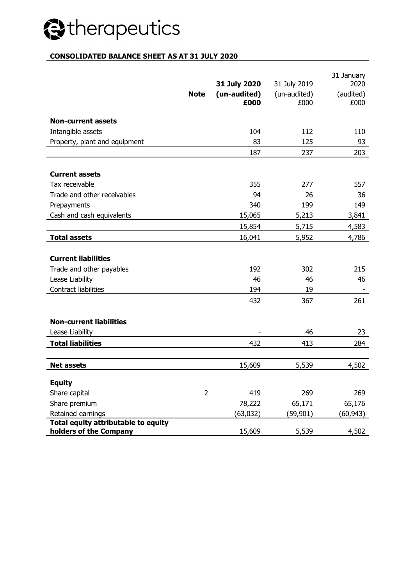# Stherapeutics

# **CONSOLIDATED BALANCE SHEET AS AT 31 JULY 2020**

|                                                               | <b>Note</b>    | 31 July 2020<br>(un-audited)<br>£000 | 31 July 2019<br>(un-audited)<br>£000 | 31 January<br>2020<br>(audited)<br>£000 |
|---------------------------------------------------------------|----------------|--------------------------------------|--------------------------------------|-----------------------------------------|
| <b>Non-current assets</b>                                     |                |                                      |                                      |                                         |
| Intangible assets                                             |                | 104                                  | 112                                  | 110                                     |
| Property, plant and equipment                                 |                | 83                                   | 125                                  | 93                                      |
|                                                               |                | 187                                  | 237                                  | 203                                     |
|                                                               |                |                                      |                                      |                                         |
| <b>Current assets</b>                                         |                |                                      |                                      |                                         |
| Tax receivable                                                |                | 355                                  | 277                                  | 557                                     |
| Trade and other receivables                                   |                | 94                                   | 26                                   | 36                                      |
| Prepayments                                                   |                | 340                                  | 199                                  | 149                                     |
| Cash and cash equivalents                                     |                | 15,065                               | 5,213                                | 3,841                                   |
|                                                               |                | 15,854                               | 5,715                                | 4,583                                   |
| <b>Total assets</b>                                           |                | 16,041                               | 5,952                                | 4,786                                   |
| <b>Current liabilities</b><br>Trade and other payables        |                | 192                                  | 302                                  | 215                                     |
| Lease Liability                                               |                | 46                                   | 46                                   | 46                                      |
| Contract liabilities                                          |                | 194                                  | 19                                   |                                         |
|                                                               |                | 432                                  | 367                                  | 261                                     |
| <b>Non-current liabilities</b><br>Lease Liability             |                |                                      | 46                                   | 23                                      |
|                                                               |                |                                      |                                      |                                         |
| <b>Total liabilities</b>                                      |                | 432                                  | 413                                  | 284                                     |
| <b>Net assets</b>                                             |                | 15,609                               | 5,539                                | 4,502                                   |
| <b>Equity</b>                                                 |                |                                      |                                      |                                         |
| Share capital                                                 | $\overline{2}$ | 419                                  | 269                                  | 269                                     |
| Share premium                                                 |                | 78,222                               | 65,171                               | 65,176                                  |
| Retained earnings                                             |                | (63, 032)                            | (59, 901)                            | (60, 943)                               |
| Total equity attributable to equity<br>holders of the Company |                | 15,609                               | 5,539                                | 4,502                                   |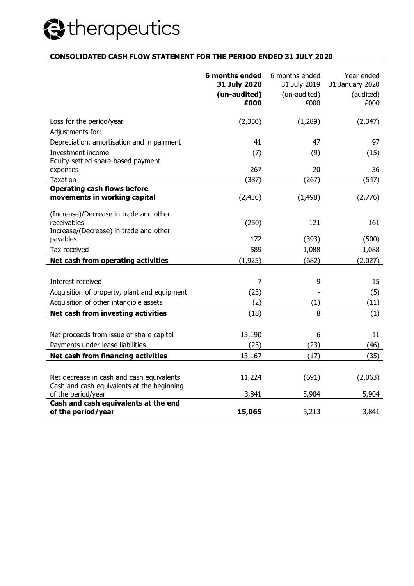# Stherapeutics

### **CONSOLIDATED CASH FLOW STATEMENT FOR THE PERIOD ENDED 31 JULY 2020**

|                                                                                                 | 6 months ended<br>31 July 2020<br>(un-audited)<br>£000 | 6 months ended<br>31 July 2019<br>(un-audited)<br>£000 | Year ended<br>31 January 2020<br>(audited)<br>£000 |
|-------------------------------------------------------------------------------------------------|--------------------------------------------------------|--------------------------------------------------------|----------------------------------------------------|
| Loss for the period/year                                                                        | (2,350)                                                | (1, 289)                                               | (2, 347)                                           |
| Adjustments for:                                                                                |                                                        |                                                        |                                                    |
| Depreciation, amortisation and impairment                                                       | 41                                                     | 47                                                     | 97                                                 |
| Investment income                                                                               | (7)                                                    | (9)                                                    | (15)                                               |
| Equity-settled share-based payment                                                              |                                                        |                                                        |                                                    |
| expenses                                                                                        | 267                                                    | 20                                                     | 36                                                 |
| Taxation                                                                                        | (387)                                                  | (267)                                                  | (547)                                              |
| <b>Operating cash flows before</b><br>movements in working capital                              | (2, 436)                                               | (1, 498)                                               | (2,776)                                            |
| (Increase)/Decrease in trade and other<br>receivables<br>Increase/(Decrease) in trade and other | (250)                                                  | 121                                                    | 161                                                |
| payables                                                                                        | 172                                                    | (393)                                                  | (500)                                              |
| Tax received                                                                                    | 589                                                    | 1,088                                                  | 1,088                                              |
| <b>Net cash from operating activities</b>                                                       | (1, 925)                                               | (682)                                                  | (2,027)                                            |
|                                                                                                 |                                                        |                                                        |                                                    |
| Interest received                                                                               | $\overline{7}$                                         | 9                                                      | 15                                                 |
| Acquisition of property, plant and equipment                                                    | (23)                                                   |                                                        | (5)                                                |
| Acquisition of other intangible assets                                                          | (2)                                                    | (1)                                                    | (11)                                               |
| Net cash from investing activities                                                              | (18)                                                   | 8                                                      | (1)                                                |
|                                                                                                 |                                                        |                                                        |                                                    |
| Net proceeds from issue of share capital                                                        | 13,190                                                 | 6                                                      | 11                                                 |
| Payments under lease liabilities                                                                | (23)                                                   | (23)                                                   | (46)                                               |
| Net cash from financing activities                                                              | 13,167                                                 | (17)                                                   | (35)                                               |
|                                                                                                 |                                                        |                                                        |                                                    |
| Net decrease in cash and cash equivalents                                                       | 11,224                                                 | (691)                                                  | (2,063)                                            |
| Cash and cash equivalents at the beginning                                                      |                                                        | 5,904                                                  | 5,904                                              |
| of the period/year<br>Cash and cash equivalents at the end                                      | 3,841                                                  |                                                        |                                                    |
| of the period/year                                                                              | 15,065                                                 | 5,213                                                  | 3,841                                              |